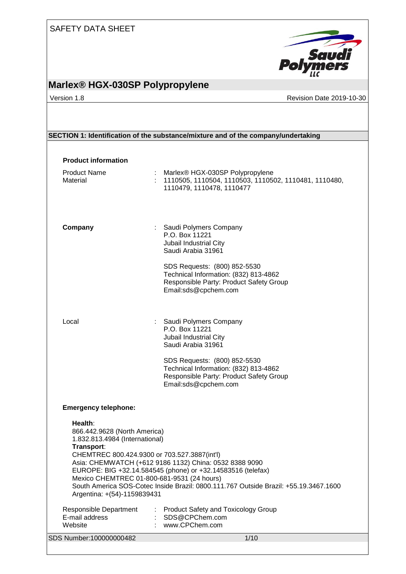# **Marlex® HGX-030SP Polypropylene**

Pol

Saudi

Version 1.8 **New Search 2019-10-30** Revision Date 2019-10-30

## **SECTION 1: Identification of the substance/mixture and of the company/undertaking**

| <b>Product information</b><br><b>Product Name</b>                                          |    | : Marlex® HGX-030SP Polypropylene                                                                                                                                                                             |
|--------------------------------------------------------------------------------------------|----|---------------------------------------------------------------------------------------------------------------------------------------------------------------------------------------------------------------|
| Material                                                                                   | t. | 1110505, 1110504, 1110503, 1110502, 1110481, 1110480,<br>1110479, 1110478, 1110477                                                                                                                            |
| Company                                                                                    |    | : Saudi Polymers Company<br>P.O. Box 11221<br>Jubail Industrial City<br>Saudi Arabia 31961                                                                                                                    |
|                                                                                            |    | SDS Requests: (800) 852-5530<br>Technical Information: (832) 813-4862<br>Responsible Party: Product Safety Group<br>Email:sds@cpchem.com                                                                      |
| Local                                                                                      |    | : Saudi Polymers Company<br>P.O. Box 11221<br>Jubail Industrial City<br>Saudi Arabia 31961                                                                                                                    |
|                                                                                            |    | SDS Requests: (800) 852-5530<br>Technical Information: (832) 813-4862<br>Responsible Party: Product Safety Group<br>Email:sds@cpchem.com                                                                      |
| <b>Emergency telephone:</b>                                                                |    |                                                                                                                                                                                                               |
| Health:<br>866.442.9628 (North America)<br>1.832.813.4984 (International)<br>Transport:    |    |                                                                                                                                                                                                               |
| CHEMTREC 800.424.9300 or 703.527.3887(int'l)<br>Mexico CHEMTREC 01-800-681-9531 (24 hours) |    | Asia: CHEMWATCH (+612 9186 1132) China: 0532 8388 9090<br>EUROPE: BIG +32.14.584545 (phone) or +32.14583516 (telefax)<br>South America SOS-Cotec Inside Brazil: 0800.111.767 Outside Brazil: +55.19.3467.1600 |
| Argentina: +(54)-1159839431                                                                |    |                                                                                                                                                                                                               |
| <b>Responsible Department</b><br>E-mail address<br>Website                                 |    | <b>Product Safety and Toxicology Group</b><br>SDS@CPChem.com<br>www.CPChem.com                                                                                                                                |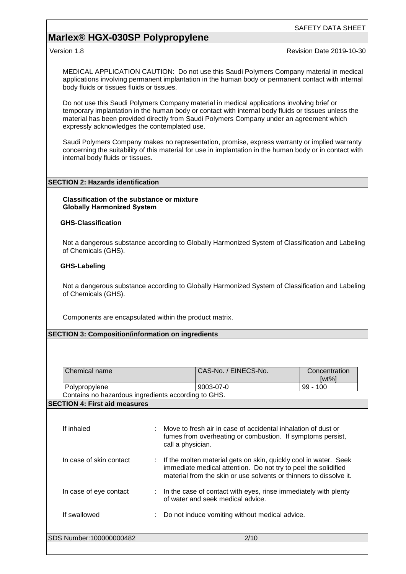## **Marlex® HGX-030SP Polypropylene**

Version 1.8 **New Search 2019-10-30** Revision Date 2019-10-30

MEDICAL APPLICATION CAUTION: Do not use this Saudi Polymers Company material in medical applications involving permanent implantation in the human body or permanent contact with internal body fluids or tissues fluids or tissues.

Do not use this Saudi Polymers Company material in medical applications involving brief or temporary implantation in the human body or contact with internal body fluids or tissues unless the material has been provided directly from Saudi Polymers Company under an agreement which expressly acknowledges the contemplated use.

Saudi Polymers Company makes no representation, promise, express warranty or implied warranty concerning the suitability of this material for use in implantation in the human body or in contact with internal body fluids or tissues.

#### **SECTION 2: Hazards identification**

**Classification of the substance or mixture Globally Harmonized System**

#### **GHS-Classification**

Not a dangerous substance according to Globally Harmonized System of Classification and Labeling of Chemicals (GHS).

#### **GHS-Labeling**

Not a dangerous substance according to Globally Harmonized System of Classification and Labeling of Chemicals (GHS).

Components are encapsulated within the product matrix.

#### **SECTION 3: Composition/information on ingredients**

| Chemical name                                       | CAS-No. / EINECS-No. | Concentration<br>[wt%] |
|-----------------------------------------------------|----------------------|------------------------|
| Polypropylene                                       | 9003-07-0            | $99 - 100$             |
| Contains no hazardous ingredients according to GHS. |                      |                        |

#### **SECTION 4: First aid measures**

| If inhaled              | Move to fresh air in case of accidental inhalation of dust or<br>fumes from overheating or combustion. If symptoms persist,<br>call a physician.                                                           |
|-------------------------|------------------------------------------------------------------------------------------------------------------------------------------------------------------------------------------------------------|
| In case of skin contact | : If the molten material gets on skin, quickly cool in water. Seek<br>immediate medical attention. Do not try to peel the solidified<br>material from the skin or use solvents or thinners to dissolve it. |
| In case of eye contact  | $\therefore$ In the case of contact with eyes, rinse immediately with plenty<br>of water and seek medical advice.                                                                                          |
| If swallowed            | Do not induce vomiting without medical advice.                                                                                                                                                             |
| SDS Number:100000000482 | 2/10                                                                                                                                                                                                       |
|                         |                                                                                                                                                                                                            |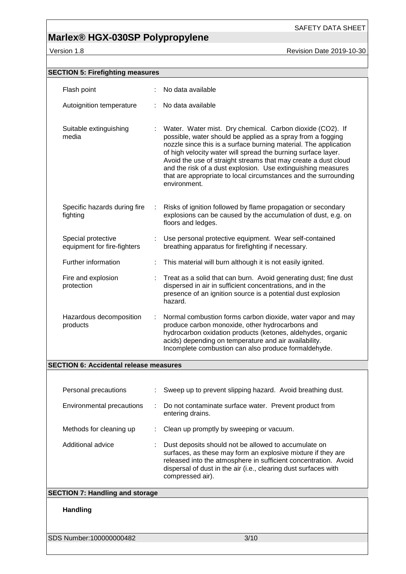# **Marlex® HGX-030SP Polypropylene**

**Version 1.8 Revision Date 2019-10-30** 

| <b>SECTION 5: Firefighting measures</b>           |    |                                                                                                                                                                                                                                                                                                                                                                                                                                                                                    |
|---------------------------------------------------|----|------------------------------------------------------------------------------------------------------------------------------------------------------------------------------------------------------------------------------------------------------------------------------------------------------------------------------------------------------------------------------------------------------------------------------------------------------------------------------------|
| Flash point                                       |    | No data available                                                                                                                                                                                                                                                                                                                                                                                                                                                                  |
| Autoignition temperature                          |    | No data available                                                                                                                                                                                                                                                                                                                                                                                                                                                                  |
|                                                   |    |                                                                                                                                                                                                                                                                                                                                                                                                                                                                                    |
| Suitable extinguishing<br>media                   |    | Water. Water mist. Dry chemical. Carbon dioxide (CO2). If<br>possible, water should be applied as a spray from a fogging<br>nozzle since this is a surface burning material. The application<br>of high velocity water will spread the burning surface layer.<br>Avoid the use of straight streams that may create a dust cloud<br>and the risk of a dust explosion. Use extinguishing measures<br>that are appropriate to local circumstances and the surrounding<br>environment. |
| Specific hazards during fire<br>fighting          |    | Risks of ignition followed by flame propagation or secondary<br>explosions can be caused by the accumulation of dust, e.g. on<br>floors and ledges.                                                                                                                                                                                                                                                                                                                                |
| Special protective<br>equipment for fire-fighters | ÷. | Use personal protective equipment. Wear self-contained<br>breathing apparatus for firefighting if necessary.                                                                                                                                                                                                                                                                                                                                                                       |
| Further information                               |    | This material will burn although it is not easily ignited.                                                                                                                                                                                                                                                                                                                                                                                                                         |
| Fire and explosion<br>protection                  |    | Treat as a solid that can burn. Avoid generating dust; fine dust<br>dispersed in air in sufficient concentrations, and in the<br>presence of an ignition source is a potential dust explosion<br>hazard.                                                                                                                                                                                                                                                                           |
| Hazardous decomposition<br>products               | ÷  | Normal combustion forms carbon dioxide, water vapor and may<br>produce carbon monoxide, other hydrocarbons and<br>hydrocarbon oxidation products (ketones, aldehydes, organic<br>acids) depending on temperature and air availability.<br>Incomplete combustion can also produce formaldehyde.                                                                                                                                                                                     |
| <b>SECTION 6: Accidental release measures</b>     |    |                                                                                                                                                                                                                                                                                                                                                                                                                                                                                    |
|                                                   |    |                                                                                                                                                                                                                                                                                                                                                                                                                                                                                    |
| Personal precautions                              |    | Sweep up to prevent slipping hazard. Avoid breathing dust.                                                                                                                                                                                                                                                                                                                                                                                                                         |
| <b>Environmental precautions</b>                  |    | Do not contaminate surface water. Prevent product from<br>entering drains.                                                                                                                                                                                                                                                                                                                                                                                                         |
| Methods for cleaning up                           |    | Clean up promptly by sweeping or vacuum.                                                                                                                                                                                                                                                                                                                                                                                                                                           |
| Additional advice                                 |    | Dust deposits should not be allowed to accumulate on<br>surfaces, as these may form an explosive mixture if they are<br>released into the atmosphere in sufficient concentration. Avoid<br>dispersal of dust in the air (i.e., clearing dust surfaces with<br>compressed air).                                                                                                                                                                                                     |
| <b>SECTION 7: Handling and storage</b>            |    |                                                                                                                                                                                                                                                                                                                                                                                                                                                                                    |
| <b>Handling</b>                                   |    |                                                                                                                                                                                                                                                                                                                                                                                                                                                                                    |
| SDS Number:100000000482                           |    | 3/10                                                                                                                                                                                                                                                                                                                                                                                                                                                                               |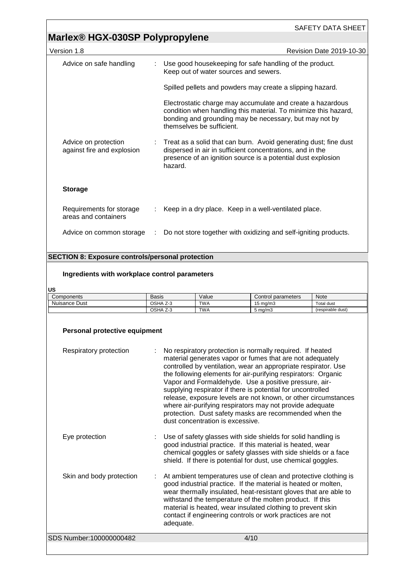# **Marlex® HGX-030SP Polypropylene**

| Version 1.8                                        |   | <b>Revision Date 2019-10-30</b>                                                                                                                                                                                      |
|----------------------------------------------------|---|----------------------------------------------------------------------------------------------------------------------------------------------------------------------------------------------------------------------|
| Advice on safe handling                            |   | Use good housekeeping for safe handling of the product.<br>Keep out of water sources and sewers.                                                                                                                     |
|                                                    |   | Spilled pellets and powders may create a slipping hazard.                                                                                                                                                            |
|                                                    |   | Electrostatic charge may accumulate and create a hazardous<br>condition when handling this material. To minimize this hazard,<br>bonding and grounding may be necessary, but may not by<br>themselves be sufficient. |
| Advice on protection<br>against fire and explosion |   | Treat as a solid that can burn. Avoid generating dust; fine dust<br>dispersed in air in sufficient concentrations, and in the<br>presence of an ignition source is a potential dust explosion<br>hazard.             |
| <b>Storage</b>                                     |   |                                                                                                                                                                                                                      |
| Requirements for storage<br>areas and containers   |   | Keep in a dry place. Keep in a well-ventilated place.                                                                                                                                                                |
| Advice on common storage                           | ÷ | Do not store together with oxidizing and self-igniting products.                                                                                                                                                     |
|                                                    |   |                                                                                                                                                                                                                      |

## **SECTION 8: Exposure controls/personal protection**

## **Ingredients with workplace control parameters**

**US**

| --            |               |            |                    |                   |
|---------------|---------------|------------|--------------------|-------------------|
| Components    | Basis         | √alue      | Control parameters | Note              |
| Nuisance Dust | OSHA Z-3      | <b>TWA</b> | $15 \text{ ma/m}$  | Total dust        |
|               | OSHA<br>. Z-3 | <b>TWA</b> | $5 \text{ ma/m}$   | (respirable dust) |

| Personal protective equipment |                                                                                                                                                                                                                                                                                                                                                                                                                                                                                                                                                                                                               |
|-------------------------------|---------------------------------------------------------------------------------------------------------------------------------------------------------------------------------------------------------------------------------------------------------------------------------------------------------------------------------------------------------------------------------------------------------------------------------------------------------------------------------------------------------------------------------------------------------------------------------------------------------------|
| Respiratory protection        | No respiratory protection is normally required. If heated<br>material generates vapor or fumes that are not adequately<br>controlled by ventilation, wear an appropriate respirator. Use<br>the following elements for air-purifying respirators: Organic<br>Vapor and Formaldehyde. Use a positive pressure, air-<br>supplying respirator if there is potential for uncontrolled<br>release, exposure levels are not known, or other circumstances<br>where air-purifying respirators may not provide adequate<br>protection. Dust safety masks are recommended when the<br>dust concentration is excessive. |
| Eye protection                | Use of safety glasses with side shields for solid handling is<br>good industrial practice. If this material is heated, wear<br>chemical goggles or safety glasses with side shields or a face<br>shield. If there is potential for dust, use chemical goggles.                                                                                                                                                                                                                                                                                                                                                |
| Skin and body protection      | At ambient temperatures use of clean and protective clothing is<br>good industrial practice. If the material is heated or molten,<br>wear thermally insulated, heat-resistant gloves that are able to<br>withstand the temperature of the molten product. If this<br>material is heated, wear insulated clothing to prevent skin<br>contact if engineering controls or work practices are not<br>adequate.                                                                                                                                                                                                    |
| SDS Number:100000000482       | 4/10                                                                                                                                                                                                                                                                                                                                                                                                                                                                                                                                                                                                          |
|                               |                                                                                                                                                                                                                                                                                                                                                                                                                                                                                                                                                                                                               |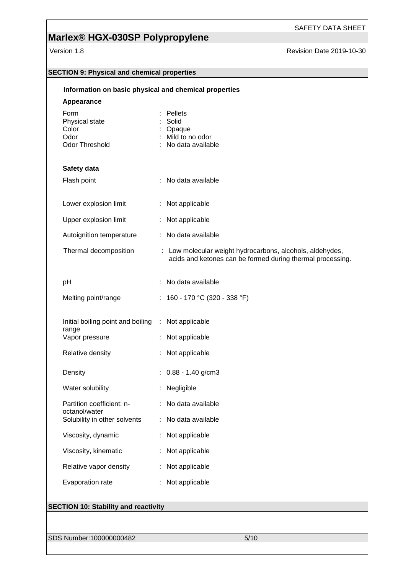# **Marlex® HGX-030SP Polypropylene**

Version 1.8 **Version 1.8** Revision Date 2019-10-30

| Information on basic physical and chemical properties     |                                                                                                                         |
|-----------------------------------------------------------|-------------------------------------------------------------------------------------------------------------------------|
| Appearance                                                |                                                                                                                         |
| Form<br>Physical state<br>Color<br>Odor<br>Odor Threshold | Pellets<br>Solid<br>Opaque<br>Mild to no odor<br>: No data available                                                    |
| Safety data                                               |                                                                                                                         |
| Flash point                                               | : No data available                                                                                                     |
| Lower explosion limit                                     | : Not applicable                                                                                                        |
| Upper explosion limit                                     | Not applicable                                                                                                          |
| Autoignition temperature                                  | : No data available                                                                                                     |
| Thermal decomposition                                     | : Low molecular weight hydrocarbons, alcohols, aldehydes,<br>acids and ketones can be formed during thermal processing. |
| pH                                                        | No data available                                                                                                       |
| Melting point/range                                       | : 160 - 170 °C (320 - 338 °F)                                                                                           |
| Initial boiling point and boiling<br>range                | : Not applicable                                                                                                        |
| Vapor pressure                                            | : Not applicable                                                                                                        |
| Relative density                                          | Not applicable                                                                                                          |
| Density                                                   | $: 0.88 - 1.40$ g/cm3                                                                                                   |
| Water solubility                                          | Negligible                                                                                                              |
| Partition coefficient: n-<br>octanol/water                | No data available                                                                                                       |
| Solubility in other solvents                              | No data available                                                                                                       |
| Viscosity, dynamic                                        | : Not applicable                                                                                                        |
| Viscosity, kinematic                                      | Not applicable                                                                                                          |
| Relative vapor density                                    | : Not applicable                                                                                                        |
| Evaporation rate                                          | : Not applicable                                                                                                        |
| <b>SECTION 10: Stability and reactivity</b>               |                                                                                                                         |

SDS Number:100000000482 5/10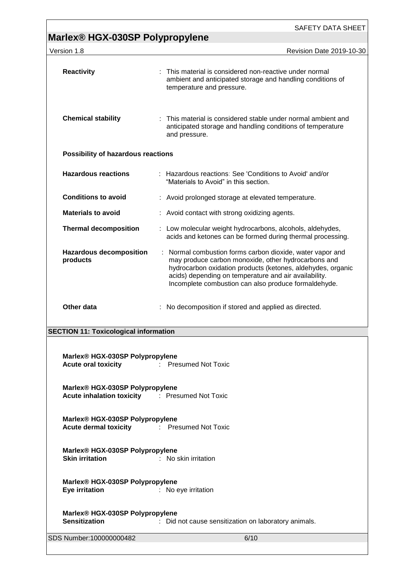|                                                                                                                                                           | SAFETY DATA SHEET                                                                                                                                                                                                                                                                                |
|-----------------------------------------------------------------------------------------------------------------------------------------------------------|--------------------------------------------------------------------------------------------------------------------------------------------------------------------------------------------------------------------------------------------------------------------------------------------------|
| Marlex <sup>®</sup> HGX-030SP Polypropylene<br>Version 1.8                                                                                                | <b>Revision Date 2019-10-30</b>                                                                                                                                                                                                                                                                  |
|                                                                                                                                                           |                                                                                                                                                                                                                                                                                                  |
| <b>Reactivity</b>                                                                                                                                         | : This material is considered non-reactive under normal<br>ambient and anticipated storage and handling conditions of<br>temperature and pressure.                                                                                                                                               |
| <b>Chemical stability</b>                                                                                                                                 | : This material is considered stable under normal ambient and<br>anticipated storage and handling conditions of temperature<br>and pressure.                                                                                                                                                     |
| Possibility of hazardous reactions                                                                                                                        |                                                                                                                                                                                                                                                                                                  |
| <b>Hazardous reactions</b>                                                                                                                                | : Hazardous reactions: See 'Conditions to Avoid' and/or<br>"Materials to Avoid" in this section.                                                                                                                                                                                                 |
| <b>Conditions to avoid</b>                                                                                                                                | : Avoid prolonged storage at elevated temperature.                                                                                                                                                                                                                                               |
| <b>Materials to avoid</b>                                                                                                                                 | : Avoid contact with strong oxidizing agents.                                                                                                                                                                                                                                                    |
| <b>Thermal decomposition</b>                                                                                                                              | : Low molecular weight hydrocarbons, alcohols, aldehydes,<br>acids and ketones can be formed during thermal processing.                                                                                                                                                                          |
| <b>Hazardous decomposition</b><br>products                                                                                                                | : Normal combustion forms carbon dioxide, water vapor and<br>may produce carbon monoxide, other hydrocarbons and<br>hydrocarbon oxidation products (ketones, aldehydes, organic<br>acids) depending on temperature and air availability.<br>Incomplete combustion can also produce formaldehyde. |
| Other data                                                                                                                                                | No decomposition if stored and applied as directed.                                                                                                                                                                                                                                              |
| <b>SECTION 11: Toxicological information</b>                                                                                                              |                                                                                                                                                                                                                                                                                                  |
|                                                                                                                                                           |                                                                                                                                                                                                                                                                                                  |
| Marlex® HGX-030SP Polypropylene<br>Acute oral toxicity <b>Exercise Exercise Service Service Service Service Service Service Service Service Service S</b> |                                                                                                                                                                                                                                                                                                  |
| Marlex® HGX-030SP Polypropylene<br>Acute inhalation toxicity : Presumed Not Toxic                                                                         |                                                                                                                                                                                                                                                                                                  |
| Marlex® HGX-030SP Polypropylene<br><b>Acute dermal toxicity Fig. 2.1 Fresumed Not Toxic</b>                                                               |                                                                                                                                                                                                                                                                                                  |
| Marlex® HGX-030SP Polypropylene<br><b>Skin irritation</b>                                                                                                 | : No skin irritation                                                                                                                                                                                                                                                                             |
| Marlex® HGX-030SP Polypropylene<br>Eye irritation                                                                                                         | : No eye irritation                                                                                                                                                                                                                                                                              |
| Marlex® HGX-030SP Polypropylene<br><b>Sensitization</b>                                                                                                   | : Did not cause sensitization on laboratory animals.                                                                                                                                                                                                                                             |
| SDS Number:100000000482                                                                                                                                   | 6/10                                                                                                                                                                                                                                                                                             |
|                                                                                                                                                           |                                                                                                                                                                                                                                                                                                  |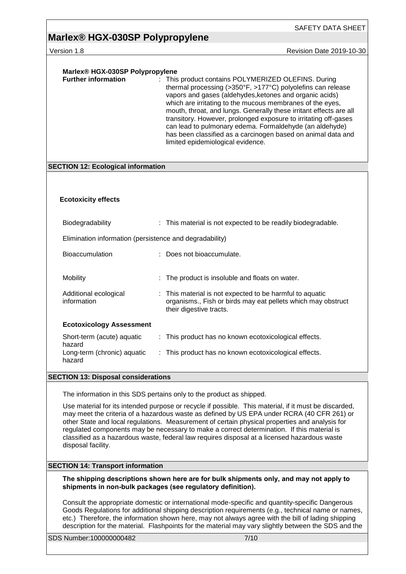# **Marlex® HGX-030SP Polypropylene**

Version 1.8 **Version 1.8** Revision Date 2019-10-30

| Marlex® HGX-030SP Polypropylene                         |                                                                                                                                                                                                                                                                                                                                                                                                                                                                                                                                                                             |
|---------------------------------------------------------|-----------------------------------------------------------------------------------------------------------------------------------------------------------------------------------------------------------------------------------------------------------------------------------------------------------------------------------------------------------------------------------------------------------------------------------------------------------------------------------------------------------------------------------------------------------------------------|
| <b>Further information</b>                              | : This product contains POLYMERIZED OLEFINS. During<br>thermal processing (>350°F, >177°C) polyolefins can release<br>vapors and gases (aldehydes, ketones and organic acids)<br>which are irritating to the mucous membranes of the eyes,<br>mouth, throat, and lungs. Generally these irritant effects are all<br>transitory. However, prolonged exposure to irritating off-gases<br>can lead to pulmonary edema. Formaldehyde (an aldehyde)<br>has been classified as a carcinogen based on animal data and<br>limited epidemiological evidence.                         |
| <b>SECTION 12: Ecological information</b>               |                                                                                                                                                                                                                                                                                                                                                                                                                                                                                                                                                                             |
|                                                         |                                                                                                                                                                                                                                                                                                                                                                                                                                                                                                                                                                             |
|                                                         |                                                                                                                                                                                                                                                                                                                                                                                                                                                                                                                                                                             |
| <b>Ecotoxicity effects</b>                              |                                                                                                                                                                                                                                                                                                                                                                                                                                                                                                                                                                             |
| Biodegradability                                        | : This material is not expected to be readily biodegradable.                                                                                                                                                                                                                                                                                                                                                                                                                                                                                                                |
| Elimination information (persistence and degradability) |                                                                                                                                                                                                                                                                                                                                                                                                                                                                                                                                                                             |
| <b>Bioaccumulation</b>                                  | : Does not bioaccumulate.                                                                                                                                                                                                                                                                                                                                                                                                                                                                                                                                                   |
| Mobility                                                | The product is insoluble and floats on water.                                                                                                                                                                                                                                                                                                                                                                                                                                                                                                                               |
| Additional ecological<br>information                    | : This material is not expected to be harmful to aquatic<br>organisms., Fish or birds may eat pellets which may obstruct<br>their digestive tracts.                                                                                                                                                                                                                                                                                                                                                                                                                         |
| <b>Ecotoxicology Assessment</b>                         |                                                                                                                                                                                                                                                                                                                                                                                                                                                                                                                                                                             |
| Short-term (acute) aquatic<br>hazard                    | : This product has no known ecotoxicological effects.                                                                                                                                                                                                                                                                                                                                                                                                                                                                                                                       |
| Long-term (chronic) aquatic<br>hazard                   | : This product has no known ecotoxicological effects.                                                                                                                                                                                                                                                                                                                                                                                                                                                                                                                       |
| <b>SECTION 13: Disposal considerations</b>              |                                                                                                                                                                                                                                                                                                                                                                                                                                                                                                                                                                             |
|                                                         |                                                                                                                                                                                                                                                                                                                                                                                                                                                                                                                                                                             |
| disposal facility.                                      | The information in this SDS pertains only to the product as shipped.<br>Use material for its intended purpose or recycle if possible. This material, if it must be discarded,<br>may meet the criteria of a hazardous waste as defined by US EPA under RCRA (40 CFR 261) or<br>other State and local regulations. Measurement of certain physical properties and analysis for<br>regulated components may be necessary to make a correct determination. If this material is<br>classified as a hazardous waste, federal law requires disposal at a licensed hazardous waste |
| <b>SECTION 14: Transport information</b>                |                                                                                                                                                                                                                                                                                                                                                                                                                                                                                                                                                                             |
|                                                         | The shipping descriptions shown here are for bulk shipments only, and may not apply to<br>shipments in non-bulk packages (see regulatory definition).                                                                                                                                                                                                                                                                                                                                                                                                                       |
|                                                         | Consult the appropriate domestic or international mode-specific and quantity-specific Dangerous<br>Goods Regulations for additional shipping description requirements (e.g., technical name or names,<br>etc.) Therefore, the information shown here, may not always agree with the bill of lading shipping<br>description for the material. Flashpoints for the material may vary slightly between the SDS and the                                                                                                                                                         |
| SDS Number:100000000482                                 | 7/10                                                                                                                                                                                                                                                                                                                                                                                                                                                                                                                                                                        |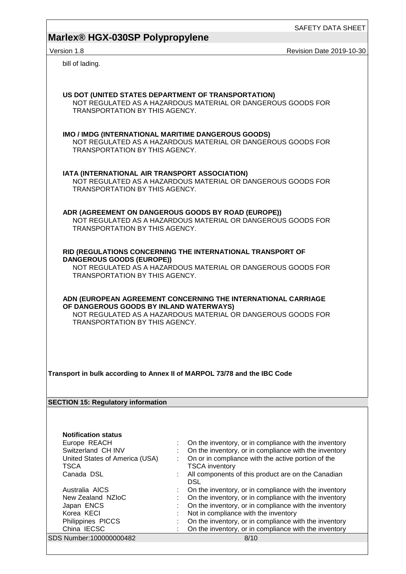# **Marlex® HGX-030SP Polypropylene**

Version 1.8 **Version 1.8** Revision Date 2019-10-30

bill of lading.

| US DOT (UNITED STATES DEPARTMENT OF TRANSPORTATION)<br>TRANSPORTATION BY THIS AGENCY.        | NOT REGULATED AS A HAZARDOUS MATERIAL OR DANGEROUS GOODS FOR                                                                  |
|----------------------------------------------------------------------------------------------|-------------------------------------------------------------------------------------------------------------------------------|
| IMO / IMDG (INTERNATIONAL MARITIME DANGEROUS GOODS)<br><b>TRANSPORTATION BY THIS AGENCY.</b> | NOT REGULATED AS A HAZARDOUS MATERIAL OR DANGEROUS GOODS FOR                                                                  |
| IATA (INTERNATIONAL AIR TRANSPORT ASSOCIATION)<br>TRANSPORTATION BY THIS AGENCY.             | NOT REGULATED AS A HAZARDOUS MATERIAL OR DANGEROUS GOODS FOR                                                                  |
| TRANSPORTATION BY THIS AGENCY.                                                               | ADR (AGREEMENT ON DANGEROUS GOODS BY ROAD (EUROPE))<br>NOT REGULATED AS A HAZARDOUS MATERIAL OR DANGEROUS GOODS FOR           |
| <b>DANGEROUS GOODS (EUROPE))</b><br>TRANSPORTATION BY THIS AGENCY.                           | RID (REGULATIONS CONCERNING THE INTERNATIONAL TRANSPORT OF<br>NOT REGULATED AS A HAZARDOUS MATERIAL OR DANGEROUS GOODS FOR    |
| OF DANGEROUS GOODS BY INLAND WATERWAYS)<br>TRANSPORTATION BY THIS AGENCY.                    | ADN (EUROPEAN AGREEMENT CONCERNING THE INTERNATIONAL CARRIAGE<br>NOT REGULATED AS A HAZARDOUS MATERIAL OR DANGEROUS GOODS FOR |
| Transport in bulk according to Annex II of MARPOL 73/78 and the IBC Code                     |                                                                                                                               |
| <b>SECTION 15: Regulatory information</b>                                                    |                                                                                                                               |
|                                                                                              |                                                                                                                               |
| <b>Notification status</b>                                                                   |                                                                                                                               |
| Europe REACH<br>Switzerland CH INV                                                           | On the inventory, or in compliance with the inventory<br>On the inventory, or in compliance with the inventory                |
| United States of America (USA)                                                               | On or in compliance with the active portion of the                                                                            |
| <b>TSCA</b>                                                                                  | <b>TSCA</b> inventory                                                                                                         |
| Canada DSL                                                                                   | All components of this product are on the Canadian<br><b>DSL</b>                                                              |
| Australia AICS                                                                               | On the inventory, or in compliance with the inventory                                                                         |
| New Zealand NZIoC                                                                            | On the inventory, or in compliance with the inventory                                                                         |
| Japan ENCS                                                                                   | On the inventory, or in compliance with the inventory                                                                         |
| Korea KECI                                                                                   | Not in compliance with the inventory                                                                                          |
| Philippines PICCS                                                                            | On the inventory, or in compliance with the inventory                                                                         |
| China IECSC                                                                                  | On the inventory, or in compliance with the inventory                                                                         |
| SDS Number:100000000482                                                                      | 8/10                                                                                                                          |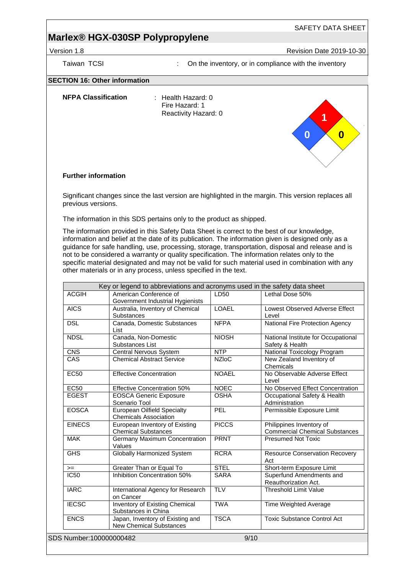## **Marlex® HGX-030SP Polypropylene**

Version 1.8 **New Search 2019-10-30** Revision Date 2019-10-30

# Taiwan TCSI **Interpreteral Constructs** on the inventory, or in compliance with the inventory **SECTION 16: Other information NFPA Classification** : Health Hazard: 0 Fire Hazard: 1 Reactivity Hazard: 0 **Further information** Significant changes since the last version are highlighted in the margin. This version replaces all previous versions. **0 1 0**

The information in this SDS pertains only to the product as shipped.

The information provided in this Safety Data Sheet is correct to the best of our knowledge, information and belief at the date of its publication. The information given is designed only as a guidance for safe handling, use, processing, storage, transportation, disposal and release and is not to be considered a warranty or quality specification. The information relates only to the specific material designated and may not be valid for such material used in combination with any other materials or in any process, unless specified in the text.

| <b>ACGIH</b>            | Key or legend to abbreviations and acronyms used in the safety data sheet<br>American Conference of | LD50                      | Lethal Dose 50%                                                   |
|-------------------------|-----------------------------------------------------------------------------------------------------|---------------------------|-------------------------------------------------------------------|
|                         | Government Industrial Hygienists                                                                    |                           |                                                                   |
| <b>AICS</b>             | Australia, Inventory of Chemical<br><b>Substances</b>                                               | <b>LOAEL</b>              | Lowest Observed Adverse Effect<br>Level                           |
| <b>DSL</b>              | Canada, Domestic Substances<br>List                                                                 | <b>NFPA</b>               | National Fire Protection Agency                                   |
| <b>NDSL</b>             | Canada, Non-Domestic<br>Substances List                                                             | $\overline{\text{NIOSH}}$ | National Institute for Occupational<br>Safety & Health            |
| <b>CNS</b>              | Central Nervous System                                                                              | <b>NTP</b>                | National Toxicology Program                                       |
| $\overline{CAS}$        | <b>Chemical Abstract Service</b>                                                                    | <b>NZIoC</b>              | New Zealand Inventory of<br>Chemicals                             |
| <b>EC50</b>             | <b>Effective Concentration</b>                                                                      | <b>NOAEL</b>              | No Observable Adverse Effect<br>Level                             |
| <b>EC50</b>             | Effective Concentration 50%                                                                         | <b>NOEC</b>               | No Observed Effect Concentration                                  |
| <b>EGEST</b>            | <b>EOSCA Generic Exposure</b><br>Scenario Tool                                                      | <b>OSHA</b>               | Occupational Safety & Health<br>Administration                    |
| <b>EOSCA</b>            | <b>European Oilfield Specialty</b><br><b>Chemicals Association</b>                                  | <b>PEL</b>                | Permissible Exposure Limit                                        |
| <b>EINECS</b>           | European Inventory of Existing<br><b>Chemical Substances</b>                                        | <b>PICCS</b>              | Philippines Inventory of<br><b>Commercial Chemical Substances</b> |
| <b>MAK</b>              | <b>Germany Maximum Concentration</b><br>Values                                                      | <b>PRNT</b>               | <b>Presumed Not Toxic</b>                                         |
| <b>GHS</b>              | <b>Globally Harmonized System</b>                                                                   | <b>RCRA</b>               | <b>Resource Conservation Recovery</b><br>Act                      |
| $>=$                    | Greater Than or Equal To                                                                            | <b>STEL</b>               | Short-term Exposure Limit                                         |
| <b>IC50</b>             | Inhibition Concentration 50%                                                                        | <b>SARA</b>               | Superfund Amendments and<br>Reauthorization Act.                  |
| <b>IARC</b>             | International Agency for Research<br>on Cancer                                                      | <b>TLV</b>                | <b>Threshold Limit Value</b>                                      |
| <b>IECSC</b>            | Inventory of Existing Chemical<br>Substances in China                                               | <b>TWA</b>                | Time Weighted Average                                             |
| <b>ENCS</b>             | Japan, Inventory of Existing and<br><b>New Chemical Substances</b>                                  | <b>TSCA</b>               | <b>Toxic Substance Control Act</b>                                |
| SDS Number:100000000482 |                                                                                                     |                           | 9/10                                                              |